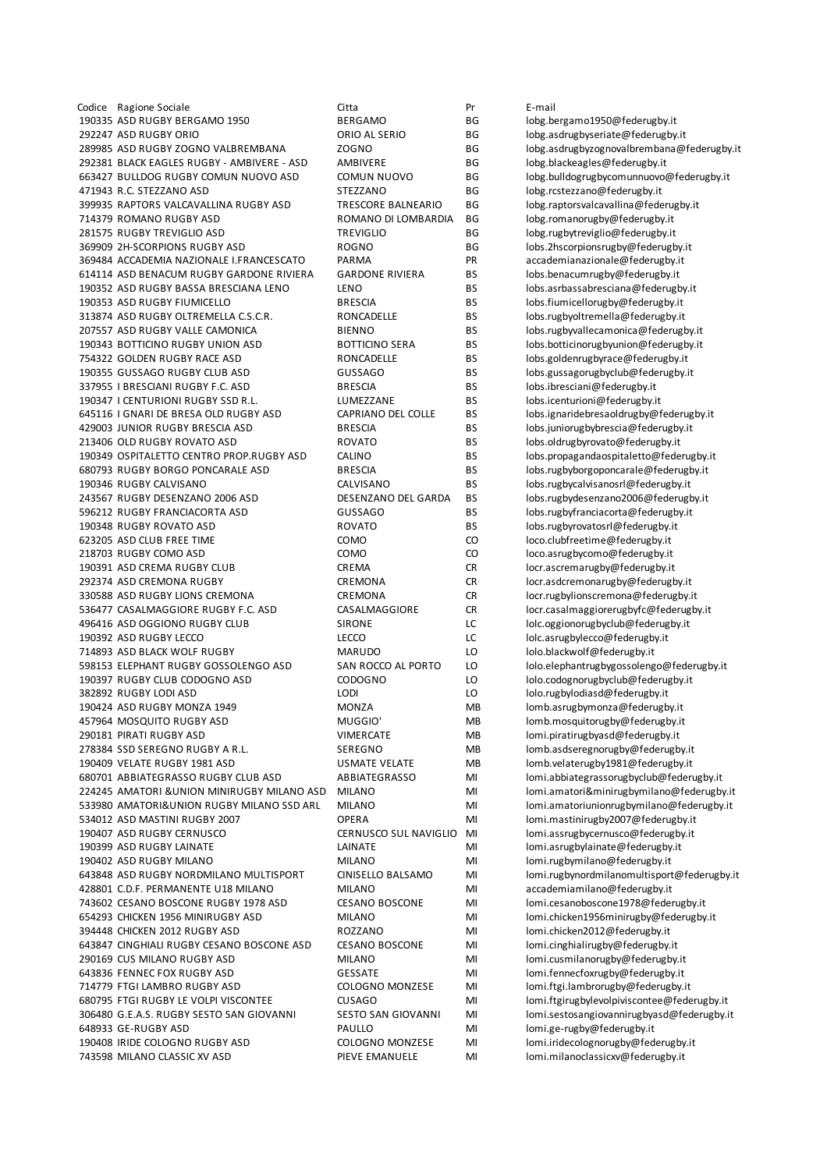Codice Ragione Sociale Citta Pr E-mail ASD RUGBY BERGAMO 1950 BERGAMO BG lobg.bergamo1950@federugby.it 292247 ASD RUGBY ORIO **CONSERVATION CONCOMPTED AL SERIO** BG lobg.asdrugbyseriate@federugby.it 289985 ASD RUGBY ZOGNO VALBREMBANA ZOGNO BG lobg.asdrugbyzognovalbrembana@federugby.it 292381 BLACK EAGLES RUGBY - AMBIVERE - ASD AMBIVERE - ASD AMBIVERE BG lobg.blackeagles@federugby.it<br>663427 BULLDOG RUGBY COMUN NUOVO ASD COMUN NUOVO BG lobg.bulldogrugbycomunnuovo 471943 R.C. STEZZANO ASD STEZZANO BG lobg.rcstezzano@federugby.it<br>199935 RAPTORS VALCAVALLINA RUGBY ASD TRESCORE BALNEARIO BG lobg.raptorsvalcavallina@fede 399935 RAPTORS VALCAVALLINA RUGBY ASD TRESCORE BALNEARIO BG lobg.raptorsvalcavallina@federugby.it ROMANO RUGBY ASD ROMANO DI LOMBARDIA BG lobg.romanorugby@federugby.it RUGBY TREVIGLIO ASD TREVIGLIO BG lobg.rugbytreviglio@federugby.it 2H-SCORPIONS RUGBY ASD ROGNO BG lobs.2hscorpionsrugby@federugby.it ACCADEMIA NAZIONALE I.FRANCESCATO PARMA PR accademianazionale@federugby.it ASD BENACUM RUGBY GARDONE RIVIERA GARDONE RIVIERA BS lobs.benacumrugby@federugby.it ASD RUGBY BASSA BRESCIANA LENO LENO BS lobs.asrbassabresciana@federugby.it ASD RUGBY FIUMICELLO BRESCIA BS lobs.fiumicellorugby@federugby.it 313874 ASD RUGBY OLTREMELLA C.S.C.R. RONCADELLE BS lobs.rugbyoltremella@federugby.it ASD RUGBY VALLE CAMONICA BIENNO BS lobs.rugbyvallecamonica@federugby.it BOTTICINO RUGBY UNION ASD BOTTICINO SERA BS lobs.botticinorugbyunion@federugby.it GOLDEN RUGBY RACE ASD RONCADELLE BS lobs.goldenrugbyrace@federugby.it GUSSAGO RUGBY CLUB ASD GUSSAGO BS lobs.gussagorugbyclub@federugby.it 337955 I BRESCIANI RUGBY F.C. ASD BRESCIA BS lobs.ibresciani@federugby.it I CENTURIONI RUGBY SSD R.L. LUMEZZANE BS lobs.icenturioni@federugby.it I GNARI DE BRESA OLD RUGBY ASD CAPRIANO DEL COLLE BS lobs.ignaridebresaoldrugby@federugby.it JUNIOR RUGBY BRESCIA ASD BRESCIA BS lobs.juniorugbybrescia@federugby.it OLD RUGBY ROVATO ASD ROVATO BS lobs.oldrugbyrovato@federugby.it OSPITALETTO CENTRO PROP.RUGBY ASD CALINO BS lobs.propagandaospitaletto@federugby.it 680793 RUGBY BORGO PONCARALE ASD BRESCIA BS lobs.rugbyborgoponcarale@federugby.it RUGBY CALVISANO CALVISANO BS lobs.rugbycalvisanosrl@federugby.it RUGBY DESENZANO 2006 ASD DESENZANO DEL GARDA BS lobs.rugbydesenzano2006@federugby.it RUGBY FRANCIACORTA ASD GUSSAGO BS lobs.rugbyfranciacorta@federugby.it RUGBY ROVATO ASD ROVATO BS lobs.rugbyrovatosrl@federugby.it ASD CLUB FREE TIME COMO CO loco.clubfreetime@federugby.it RUGBY COMO ASD COMO CO loco.asrugbycomo@federugby.it ASD CREMA RUGBY CLUB CREMA CR locr.ascremarugby@federugby.it 292374 ASD CREMONA RUGBY CREMONA CREMONA CR locr.asdcremonarugby@federugby.it ASD RUGBY LIONS CREMONA CREMONA CR locr.rugbylionscremona@federugby.it 536477 CASALMAGGIORE RUGBY F.C. ASD CASALMAGGIORE CR locr.casalmaggiorerugbyfc@federugby.it ASD OGGIONO RUGBY CLUB SIRONE LC lolc.oggionorugbyclub@federugby.it 190392 ASD RUGBY LECCO LECCO LC LC lolc.asrugbylecco@federugby.it ASD BLACK WOLF RUGBY MARUDO LO lolo.blackwolf@federugby.it 598153 ELEPHANT RUGBY GOSSOLENGO ASD SAN ROCCO AL PORTO LO lolo.elephantrugbygossolengo@federugby.it RUGBY CLUB CODOGNO ASD CODOGNO LO lolo.codognorugbyclub@federugby.it RUGBY LODI ASD LODI LO lolo.rugbylodiasd@federugby.it ASD RUGBY MONZA 1949 MONZA MB lomb.asrugbymonza@federugby.it MOSQUITO RUGBY ASD MUGGIO' MB lomb.mosquitorugby@federugby.it 290181 PIRATI RUGBY ASD **VIMERCATE** MB lomi.piratirugbyasd@federugby.it 278384 SSD SEREGNO RUGBY A R.L. SEREGNO MB lomb.asdseregnorugby@federugby.it VELATE RUGBY 1981 ASD USMATE VELATE MB lomb.velaterugby1981@federugby.it 680701 ABBIATEGRASSO RUGBY CLUB ASD ABBIATEGRASSO MI lomi.abbiategrassorugbyclub@federugby.it AMATORI &UNION MINIRUGBY MILANO ASD MILANO MI lomi.amatori&minirugbymilano@federugby.it AMATORI&UNION RUGBY MILANO SSD ARL MILANO MI lomi.amatoriunionrugbymilano@federugby.it 534012 ASD MASTINI RUGBY 2007 **OPERA** MI lomi.mastinirugby2007@federugby.it ASD RUGBY CERNUSCO CERNUSCO SUL NAVIGLIO MI lomi.assrugbycernusco@federugby.it ASD RUGBY LAINATE LAINATE MI lomi.asrugbylainate@federugby.it ASD RUGBY MILANO MILANO MI lomi.rugbymilano@federugby.it ASD RUGBY NORDMILANO MULTISPORT CINISELLO BALSAMO MI lomi.rugbynordmilanomultisport@federugby.it 428801 C.D.F. PERMANENTE U18 MILANO MILANO MI MILANO MI accademiamilano@federugby.it<br>743602 CESANO BOSCONE RUGBY 1978 ASD CESANO BOSCONE MI lomi.cesanoboscone1978@feder CESANO BOSCONE RUGBY 1978 ASD CESANO BOSCONE MI lomi.cesanoboscone1978@federugby.it CHICKEN 1956 MINIRUGBY ASD MILANO MI lomi.chicken1956minirugby@federugby.it CHICKEN 2012 RUGBY ASD ROZZANO MI lomi.chicken2012@federugby.it 643847 CINGHIALI RUGBY CESANO BOSCONE ASD CESANO BOSCONE MI lomi.cinghialirugby@federugby.it CUS MILANO RUGBY ASD MILANO MI lomi.cusmilanorugby@federugby.it FENNEC FOX RUGBY ASD GESSATE MI lomi.fennecfoxrugby@federugby.it 714779 FTGI LAMBRO RUGBY ASD COLOGNO MONZESE MI lomi.ftgi.lambrorugby@federugby.it 680795 FTGI RUGBY LE VOLPI VISCONTEE CUSAGO MI MI lomi.ftgirugbylevolpiviscontee@federugby.it G.E.A.S. RUGBY SESTO SAN GIOVANNI SESTO SAN GIOVANNI MI lomi.sestosangiovannirugbyasd@federugby.it GE-RUGBY ASD PAULLO MI lomi.ge-rugby@federugby.it IRIDE COLOGNO RUGBY ASD COLOGNO MONZESE MI lomi.iridecolognorugby@federugby.it MILANO CLASSIC XV ASD PIEVE EMANUELE MI lomi.milanoclassicxv@federugby.it

BG lobg.bulldogrugbycomunnuovo@federugby.it